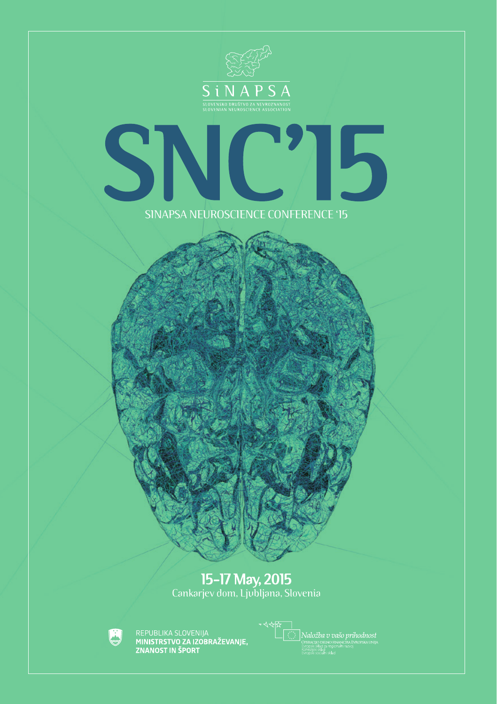

# SINAPSA NEUROSCIENCE CONFERENCE '15 SNC'15

## 15-17 May, 2015

Cankarjev dom, Ljubljana, Slovenia



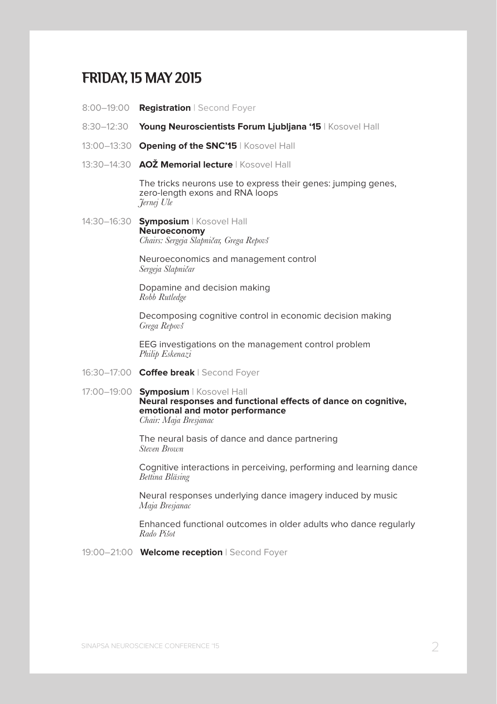## FRIDAY, 15 MAY 2015

- 8:00–19:00 **Registration** | Second Foyer
- 8:30–12:30 **Young Neuroscientists Forum Ljubljana '15** | Kosovel Hall
- 13:00–13:30 **Opening of the SNC'15** | Kosovel Hall
- 13:30–14:30 **AOŽ Memorial lecture** | Kosovel Hall

The tricks neurons use to express their genes: jumping genes, zero-length exons and RNA loops *Jernej Ule*

14:30–16:30 **Symposium** | Kosovel Hall **Neuroeconomy** *Chairs: Sergeja Slapničar, Grega Repovš*

> Neuroeconomics and management control *Sergeja Slapničar*

Dopamine and decision making *Robb Rutledge*

Decomposing cognitive control in economic decision making *Grega Repovš*

EEG investigations on the management control problem *Philip Eskenazi*

- 16:30–17:00 **Coffee break** | Second Foyer
- 17:00–19:00 **Symposium** | Kosovel Hall

**Neural responses and functional effects of dance on cognitive, emotional and motor performance**

*Chair: Maja Bresjanac*

 The neural basis of dance and dance partnering *Steven Brown*

 Cognitive interactions in perceiving, performing and learning dance *Bettina Bläsing*

 Neural responses underlying dance imagery induced by music *Maja Bresjanac*

 Enhanced functional outcomes in older adults who dance regularly *Rado Pišot*

19:00–21:00 **Welcome reception** | Second Foyer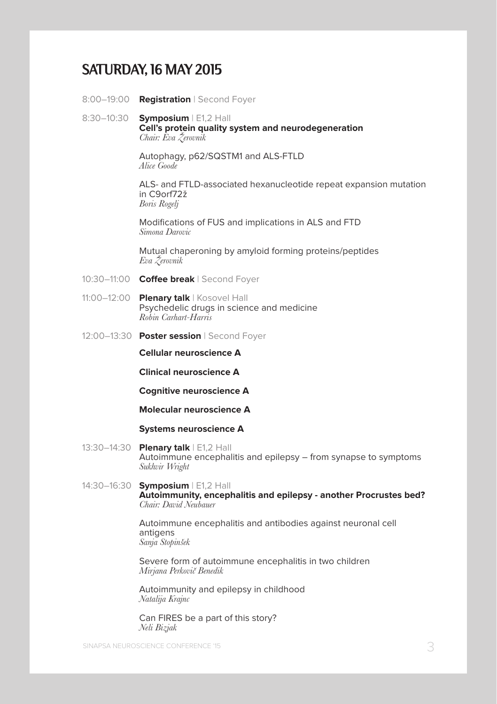#### SATURDAY, 16 MAY 2015

- 8:00–19:00 **Registration** | Second Foyer
- 8:30–10:30 **Symposium** | E1,2 Hall **Cell's protein quality system and neurodegeneration** *Chair: Eva Žerovnik*

Autophagy, p62/SQSTM1 and ALS-FTLD *Alice Goode*

 ALS- and FTLD-associated hexanucleotide repeat expansion mutation in C9orf72ž *Boris Rogelj*

 Modifications of FUS and implications in ALS and FTD *Simona Darovic*

 Mutual chaperoning by amyloid forming proteins/peptides *Eva Žerovnik*

- 10:30–11:00 **Coffee break** | Second Foyer
- 11:00–12:00 **Plenary talk** | Kosovel Hall Psychedelic drugs in science and medicine *Robin Carhart-Harris*
- 12:00–13:30 **Poster session** | Second Foyer

**Cellular neuroscience A**

 **Clinical neuroscience A**

 **Cognitive neuroscience A**

 **Molecular neuroscience A**

#### **Systems neuroscience A**

- 13:30–14:30 **Plenary talk** | E1,2 Hall Autoimmune encephalitis and epilepsy – from synapse to symptoms *Sukhvir Wright*
- 14:30–16:30 **Symposium** | E1,2 Hall **Autoimmunity, encephalitis and epilepsy - another Procrustes bed?** *Chair: David Neubauer*

 Autoimmune encephalitis and antibodies against neuronal cell antigens *Sanja Stopinšek*

 Severe form of autoimmune encephalitis in two children *Mirjana Perkovič Benedik*

 Autoimmunity and epilepsy in childhood *Natalija Krajnc*

 Can FIRES be a part of this story? *Neli Bizjak*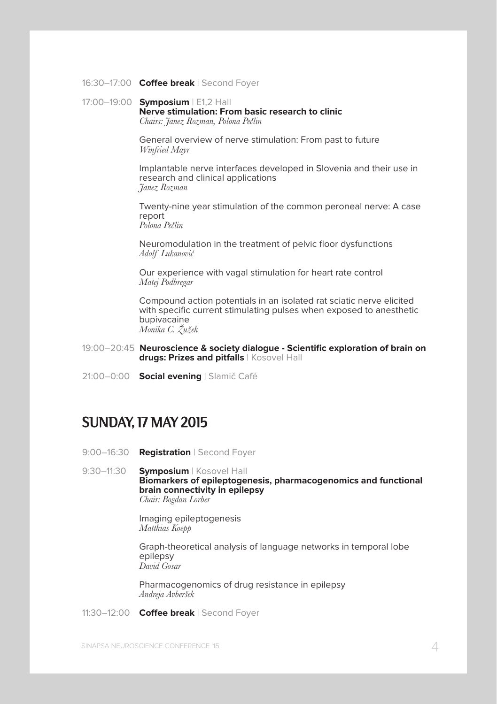#### 16:30–17:00 **Coffee break** | Second Foyer

#### 17:00–19:00 **Symposium** | E1,2 Hall **Nerve stimulation: From basic research to clinic** *Chairs: Janez Rozman, Polona Pečlin*

 General overview of nerve stimulation: From past to future *Winfried Mayr*

 Implantable nerve interfaces developed in Slovenia and their use in research and clinical applications *Janez Rozman*

 Twenty-nine year stimulation of the common peroneal nerve: A case report *Polona Pečlin*

 Neuromodulation in the treatment of pelvic floor dysfunctions *Adolf Lukanović*

 Our experience with vagal stimulation for heart rate control *Matej Podbregar*

 Compound action potentials in an isolated rat sciatic nerve elicited with specific current stimulating pulses when exposed to anesthetic bupivacaine *Monika C. Žužek*

- 19:00–20:45 **Neuroscience & society dialogue Scientific exploration of brain on drugs: Prizes and pitfalls** | Kosovel Hall
- 21:00–0:00 **Social evening** | Slamič Café

#### SUNDAY, 17 MAY 2015

9:00–16:30 **Registration** | Second Foyer

9:30–11:30 **Symposium** | Kosovel Hall **Biomarkers of epileptogenesis, pharmacogenomics and functional brain connectivity in epilepsy** *Chair: Bogdan Lorber*

> Imaging epileptogenesis *Matthias Koepp*

 Graph-theoretical analysis of language networks in temporal lobe epilepsy *David Gosar*

 Pharmacogenomics of drug resistance in epilepsy *Andreja Avberšek*

11:30–12:00 **Coffee break** | Second Foyer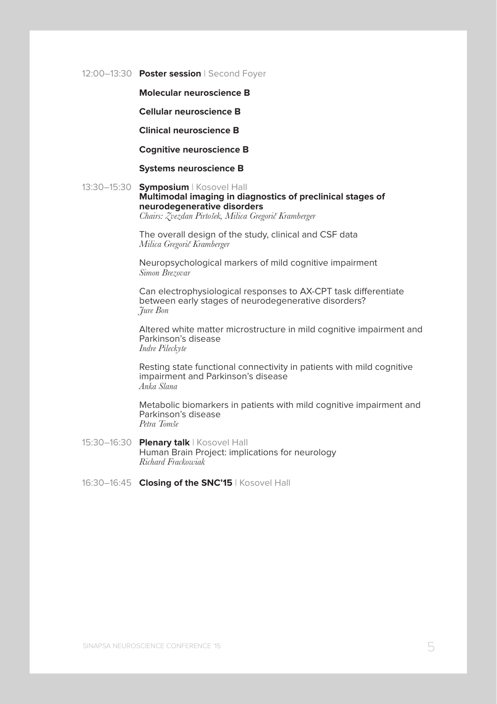12:00–13:30 **Poster session** | Second Foyer

#### **Molecular neuroscience B**

 **Cellular neuroscience B**

 **Clinical neuroscience B**

#### **Cognitive neuroscience B**

 **Systems neuroscience B**

#### 13:30–15:30 **Symposium** | Kosovel Hall **Multimodal imaging in diagnostics of preclinical stages of neurodegenerative disorders** *Chairs: Zvezdan Pirtošek, Milica Gregorič Kramberger*

 The overall design of the study, clinical and CSF data *Milica Gregorič Kramberger*

 Neuropsychological markers of mild cognitive impairment *Simon Brezovar*

 Can electrophysiological responses to AX-CPT task differentiate between early stages of neurodegenerative disorders? *Jure Bon*

 Altered white matter microstructure in mild cognitive impairment and Parkinson's disease *Indre Pileckyte*

 Resting state functional connectivity in patients with mild cognitive impairment and Parkinson's disease *Anka Slana*

 Metabolic biomarkers in patients with mild cognitive impairment and Parkinson's disease *Petra Tomše*

- 15:30–16:30 **Plenary talk** | Kosovel Hall Human Brain Project: implications for neurology *Richard Frackowiak*
- 16:30–16:45 **Closing of the SNC'15** | Kosovel Hall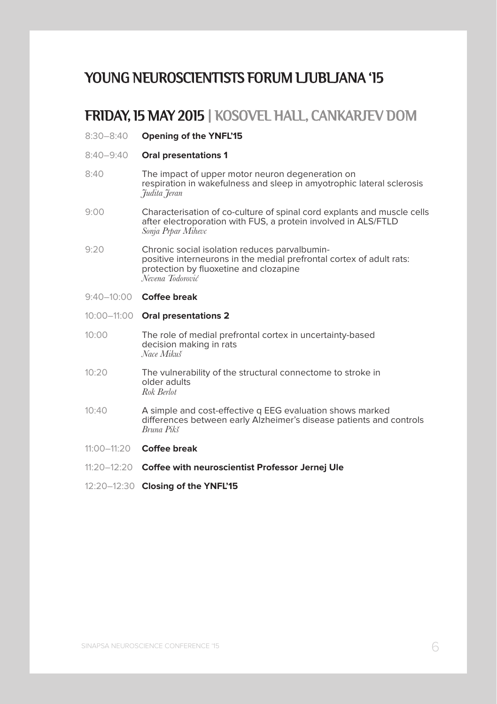## YOUNG NEUROSCIENTISTS FORUM LJUBLJANA '15

#### FRIDAY, 15 MAY 2015 | KOSOVEL HALL, CANKARJEV DOM

- 8:30–8:40 **Opening of the YNFL'15**
- 8:40–9:40 **Oral presentations 1**
- 8:40 The impact of upper motor neuron degeneration on respiration in wakefulness and sleep in amyotrophic lateral sclerosis *Judita Jeran*
- 9:00 Characterisation of co-culture of spinal cord explants and muscle cells after electroporation with FUS, a protein involved in ALS/FTLD *Sonja Prpar Mihevc*
- 9:20 Chronic social isolation reduces parvalbuminpositive interneurons in the medial prefrontal cortex of adult rats: protection by fluoxetine and clozapine *Nevena Todorović*
- 9:40–10:00 **Coffee break**

#### 10:00–11:00 **Oral presentations 2**

- 10:00 The role of medial prefrontal cortex in uncertainty-based decision making in rats *Nace Mikuš*
- 10:20 The vulnerability of the structural connectome to stroke in older adults *Rok Berlot*
- 10:40 A simple and cost-effective q EEG evaluation shows marked differences between early Alzheimer's disease patients and controls *Bruna Pikš*
- 11:00–11:20 **Coffee break**
- 11:20–12:20 **Coffee with neuroscientist Professor Jernej Ule**
- 12:20–12:30 **Closing of the YNFL'15**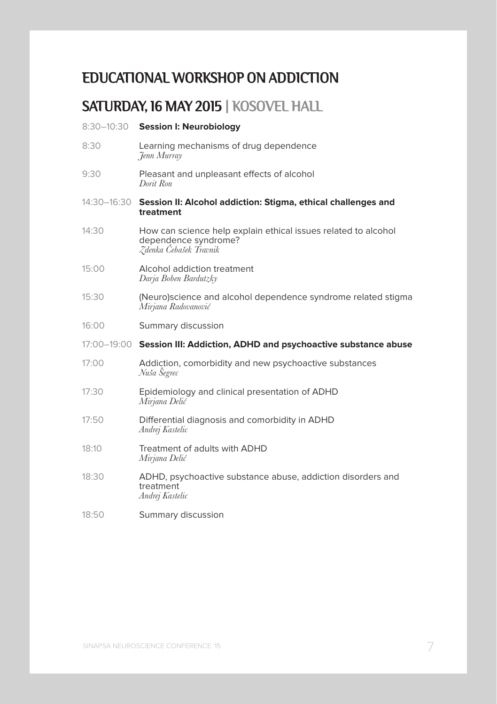## EDUCATIONAL WORKSHOP ON ADDICTION

## SATURDAY, 16 MAY 2015 | KOSOVEL HALL

#### 8:30–10:30 **Session I: Neurobiology**

- 8:30 Learning mechanisms of drug dependence *Jenn Murray*
- 9:30 Pleasant and unpleasant effects of alcohol *Dorit Ron*
- 14:30–16:30 **Session II: Alcohol addiction: Stigma, ethical challenges and treatment**
- 14:30 How can science help explain ethical issues related to alcohol dependence syndrome? *Zdenka Čebašek Travnik*
- 15:00 Alcohol addiction treatment *Darja Boben Bardutzky*
- 15:30 (Neuro)science and alcohol dependence syndrome related stigma *Mirjana Radovanović*
- 16:00 Summary discussion
- 17:00–19:00 **Session III: Addiction, ADHD and psychoactive substance abuse**
- 17:00 Addiction, comorbidity and new psychoactive substances *Nuša Šegrec*
- 17:30 Epidemiology and clinical presentation of ADHD *Mirjana Delić*
- 17:50 Differential diagnosis and comorbidity in ADHD *Andrej Kastelic*
- 18:10 Treatment of adults with ADHD *Mirjana Delić*
- 18:30 ADHD, psychoactive substance abuse, addiction disorders and treatment *Andrej Kastelic*
- 18:50 Summary discussion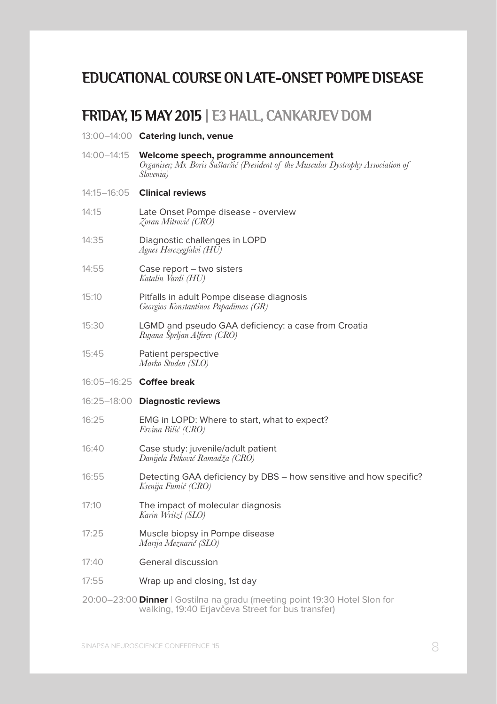## EDUCATIONAL COURSE ON LATE-ONSET POMPE DISEASE

## FRIDAY, 15 MAY 2015 | E3 HALL, CANKARJEV DOM

13:00–14:00 **Catering lunch, venue**

| 14:00–14:15 | Welcome speech, programme announcement<br>Organiser; Mr. Boris Suštaršič (President of the Muscular Dystrophy Association of<br>Slovenia) |
|-------------|-------------------------------------------------------------------------------------------------------------------------------------------|
| 14:15—16:05 | <b>Clinical reviews</b>                                                                                                                   |
| 14:15       | Late Onset Pompe disease - overview<br>Zoran Mitrović (CRO)                                                                               |
| 14:35       | Diagnostic challenges in LOPD<br>Agnes Herczegfalvi (HU)                                                                                  |
| 14:55       | Case report - two sisters<br>Katalin Vardi (HU)                                                                                           |
| 15:10       | Pitfalls in adult Pompe disease diagnosis<br>Georgios Konstantinos Papadimas (GR)                                                         |
| 15:30       | LGMD and pseudo GAA deficiency: a case from Croatia<br>Rujana Šprljan Alfirev (CRO)                                                       |
| 15:45       | Patient perspective<br>Marko Studen (SLO)                                                                                                 |
|             | 16:05-16:25 Coffee break                                                                                                                  |
|             | 16:25-18:00 Diagnostic reviews                                                                                                            |
| 16:25       | EMG in LOPD: Where to start, what to expect?<br>Ervina Bilić (CRO)                                                                        |
| 16:40       | Case study: juvenile/adult patient<br>Danijela Petković Ramadža (CRO)                                                                     |
| 16:55       | Detecting GAA deficiency by DBS - how sensitive and how specific?<br>Ksenija Fumić (CRO)                                                  |
| 17:10       | The impact of molecular diagnosis<br>Karin Writzl (SLO)                                                                                   |
| 17:25       | Muscle biopsy in Pompe disease<br>Marija Meznarič (SLO)                                                                                   |
| 17:40       | General discussion                                                                                                                        |
| 17:55       | Wrap up and closing, 1st day                                                                                                              |
|             | 20:00–23:00 Dinner   Gostilna na gradu (meeting point 19:30 Hotel Slon for                                                                |

walking, 19:40 Erjavčeva Street for bus transfer)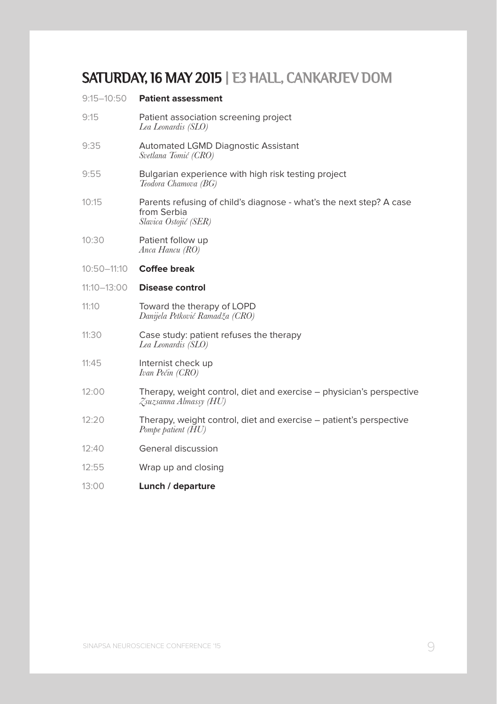## SATURDAY, 16 MAY 2015 | E3 HALL, CANKARJEV DOM

| 9:15-10:50      | <b>Patient assessment</b>                                                                                   |
|-----------------|-------------------------------------------------------------------------------------------------------------|
| 9:15            | Patient association screening project<br>Lea Leonardis (SLO)                                                |
| 9:35            | <b>Automated LGMD Diagnostic Assistant</b><br>Svetlana Tomić (CRO)                                          |
| 9:55            | Bulgarian experience with high risk testing project<br>Teodora Chamova (BG)                                 |
| 10:15           | Parents refusing of child's diagnose - what's the next step? A case<br>from Serbia<br>Slavica Ostojić (SER) |
| 10:30           | Patient follow up<br>Anca Hancu (RO)                                                                        |
| 10:50-11:10     | <b>Coffee break</b>                                                                                         |
| $11:10 - 13:00$ | Disease control                                                                                             |
| 11:10           | Toward the therapy of LOPD<br>Danijela Petković Ramadža (CRO)                                               |
| 11:30           | Case study: patient refuses the therapy<br>Lea Leonardis (SLO)                                              |
| 11:45           | Internist check up<br>Ivan Pećin (CRO)                                                                      |
| 12:00           | Therapy, weight control, diet and exercise – physician's perspective<br>Zsuzsanna Almassy (HU)              |
| 12:20           | Therapy, weight control, diet and exercise – patient's perspective<br>Pompe patient (HU)                    |
| 12:40           | General discussion                                                                                          |
| 12:55           | Wrap up and closing                                                                                         |
| 13:00           | Lunch / departure                                                                                           |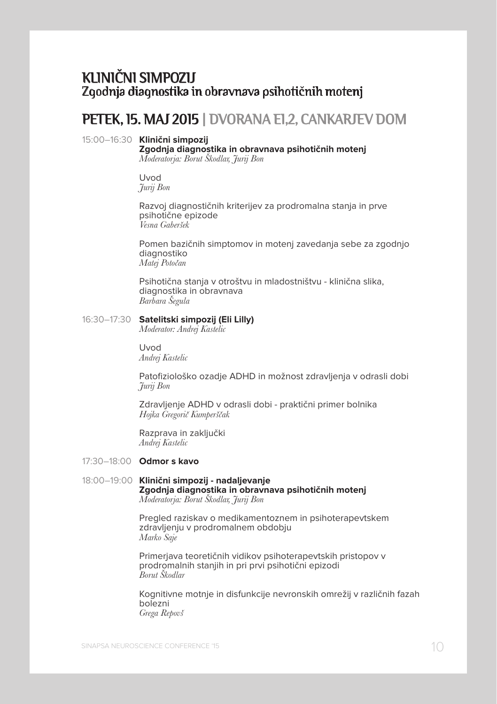### KLINICNI SIMPOZIJ Zgodnia diagnostika in obravnava psihotičnih motenj

## PETEK, 15. MAJ 2015 | DVORANA E1,2, CANKARJEV DOM

#### 15:00–16:30 **Klinični simpozij**

**Zgodnja diagnostika in obravnava psihotičnih motenj** *Moderatorja: Borut Škodlar, Jurij Bon*

Uvod *Jurij Bon*

Razvoj diagnostičnih kriterijev za prodromalna stanja in prve psihotične epizode *Vesna Gaberšek*

Pomen bazičnih simptomov in motenj zavedanja sebe za zgodnjo diagnostiko *Matej Potočan*

Psihotična stanja v otroštvu in mladostništvu - klinična slika, diagnostika in obravnava *Barbara Šegula*

#### 16:30–17:30 **Satelitski simpozij (Eli Lilly)**

*Moderator: Andrej Kastelic*

Uvod *Andrej Kastelic*

Patofiziološko ozadje ADHD in možnost zdravljenja v odrasli dobi *Jurij Bon*

Zdravljenje ADHD v odrasli dobi - praktični primer bolnika *Hojka Gregorič Kumperščak*

Razprava in zaključki *Andrej Kastelic*

- 17:30–18:00 **Odmor s kavo**
- 18:00–19:00 **Klinični simpozij nadaljevanje Zgodnja diagnostika in obravnava psihotičnih motenj** *Moderatorja: Borut Škodlar, Jurij Bon*

Pregled raziskav o medikamentoznem in psihoterapevtskem zdravljenju v prodromalnem obdobju *Marko Saje*

Primerjava teoretičnih vidikov psihoterapevtskih pristopov v prodromalnih stanjih in pri prvi psihotični epizodi *Borut Škodlar*

Kognitivne motnje in disfunkcije nevronskih omrežij v različnih fazah bolezni *Grega Repovš*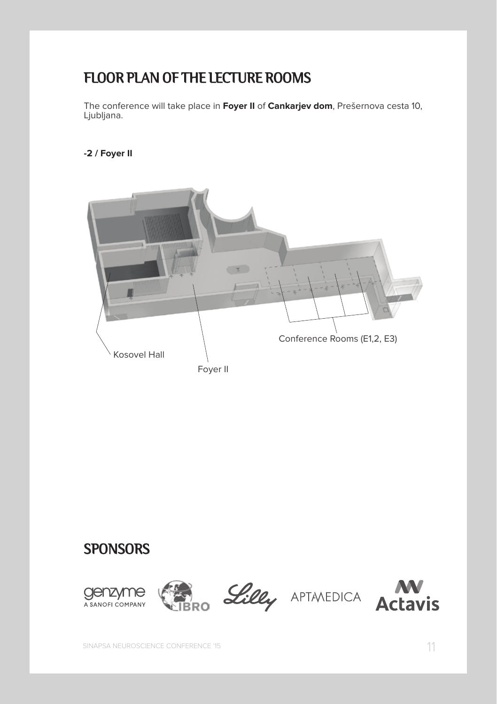## FLOOR PLAN OF THE LECTURE ROOMS

The conference will take place in **Foyer II** of **Cankarjev dom**, Prešernova cesta 10, Ljubljana.

**-2 / Foyer II**



## **SPONSORS**